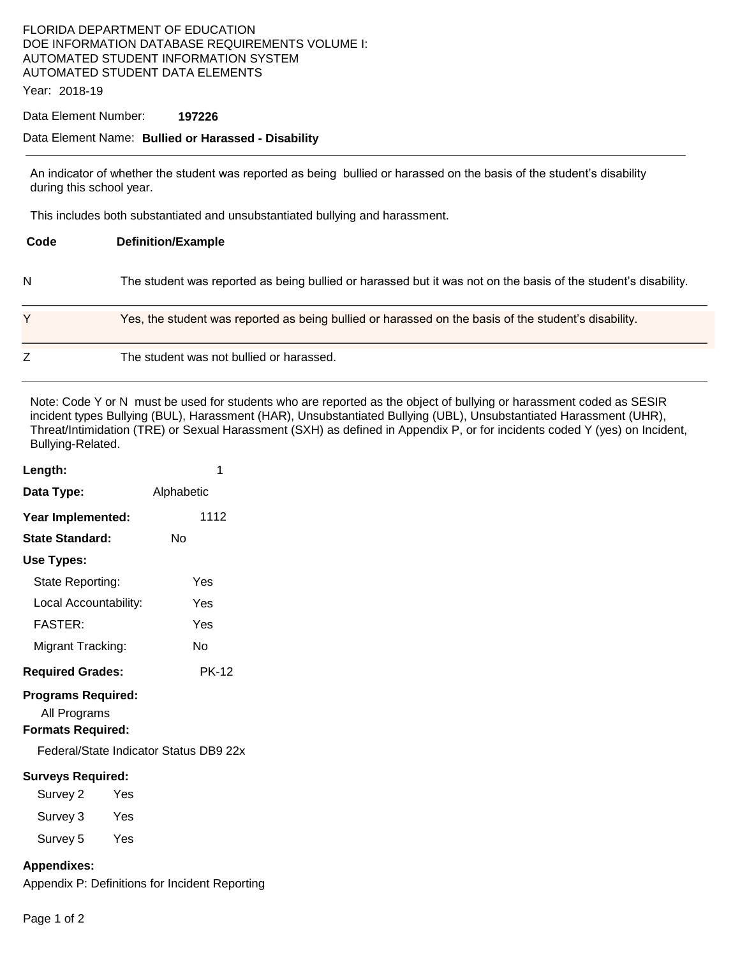# FLORIDA DEPARTMENT OF EDUCATION DOE INFORMATION DATABASE REQUIREMENTS VOLUME I: AUTOMATED STUDENT INFORMATION SYSTEM AUTOMATED STUDENT DATA ELEMENTS

Year: 2018-19

#### Data Element Number: **197226**

## Data Element Name: **Bullied or Harassed - Disability**

An indicator of whether the student was reported as being bullied or harassed on the basis of the student's disability during this school year.

This includes both substantiated and unsubstantiated bullying and harassment.

| Code | <b>Definition/Example</b>                                                                                      |
|------|----------------------------------------------------------------------------------------------------------------|
| N    | The student was reported as being bullied or harassed but it was not on the basis of the student's disability. |
|      | Yes, the student was reported as being bullied or harassed on the basis of the student's disability.           |
| Z    | The student was not bullied or harassed.                                                                       |

Note: Code Y or N must be used for students who are reported as the object of bullying or harassment coded as SESIR incident types Bullying (BUL), Harassment (HAR), Unsubstantiated Bullying (UBL), Unsubstantiated Harassment (UHR), Threat/Intimidation (TRE) or Sexual Harassment (SXH) as defined in Appendix P, or for incidents coded Y (yes) on Incident, Bullying-Related.

| Length:                                                               |     | 1                                      |  |
|-----------------------------------------------------------------------|-----|----------------------------------------|--|
| Data Type:                                                            |     | Alphabetic                             |  |
| Year Implemented:                                                     |     | 1112                                   |  |
| <b>State Standard:</b>                                                |     | N٥                                     |  |
| Use Types:                                                            |     |                                        |  |
| State Reporting:                                                      |     | Yes                                    |  |
| Local Accountability:                                                 |     | Yes                                    |  |
| <b>FASTER:</b>                                                        |     | Yes                                    |  |
| Migrant Tracking:                                                     |     | N٥                                     |  |
| <b>Required Grades:</b>                                               |     | <b>PK-12</b>                           |  |
| <b>Programs Required:</b><br>All Programs<br><b>Formats Required:</b> |     |                                        |  |
|                                                                       |     | Federal/State Indicator Status DB9 22x |  |
| <b>Surveys Required:</b>                                              |     |                                        |  |
| Survey 2                                                              | Yes |                                        |  |
| Survey 3                                                              | Yes |                                        |  |
| Survey 5                                                              | Yes |                                        |  |

## **Appendixes:**

Appendix P: Definitions for Incident Reporting